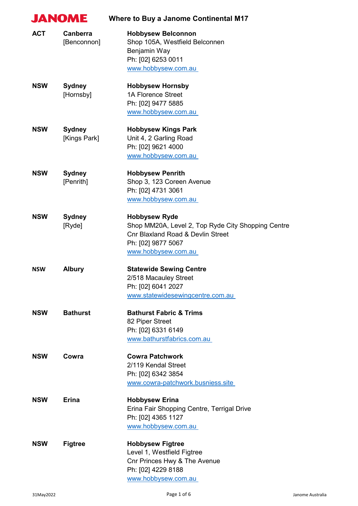|            | <b>JANOME</b>                  | <b>Where to Buy a Janome Continental M17</b>                                                                                                                            |
|------------|--------------------------------|-------------------------------------------------------------------------------------------------------------------------------------------------------------------------|
| <b>ACT</b> | <b>Canberra</b><br>[Benconnon] | <b>Hobbysew Belconnon</b><br>Shop 105A, Westfield Belconnen<br>Benjamin Way<br>Ph: [02] 6253 0011<br>www.hobbysew.com.au                                                |
| <b>NSW</b> | <b>Sydney</b><br>[Hornsby]     | <b>Hobbysew Hornsby</b><br><b>1A Florence Street</b><br>Ph: [02] 9477 5885<br>www.hobbysew.com.au                                                                       |
| <b>NSW</b> | <b>Sydney</b><br>[Kings Park]  | <b>Hobbysew Kings Park</b><br>Unit 4, 2 Garling Road<br>Ph: [02] 9621 4000<br>www.hobbysew.com.au                                                                       |
| <b>NSW</b> | <b>Sydney</b><br>[Penrith]     | <b>Hobbysew Penrith</b><br>Shop 3, 123 Coreen Avenue<br>Ph: [02] 4731 3061<br>www.hobbysew.com.au                                                                       |
| <b>NSW</b> | <b>Sydney</b><br>[Ryde]        | <b>Hobbysew Ryde</b><br>Shop MM20A, Level 2, Top Ryde City Shopping Centre<br><b>Cnr Blaxland Road &amp; Devlin Street</b><br>Ph: [02] 9877 5067<br>www.hobbysew.com.au |
| <b>NSW</b> | <b>Albury</b>                  | <b>Statewide Sewing Centre</b><br>2/518 Macauley Street<br>Ph: [02] 6041 2027<br>www.statewidesewingcentre.com.au                                                       |
| <b>NSW</b> | <b>Bathurst</b>                | <b>Bathurst Fabric &amp; Trims</b><br>82 Piper Street<br>Ph: [02] 6331 6149<br>www.bathurstfabrics.com.au                                                               |
| <b>NSW</b> | Cowra                          | <b>Cowra Patchwork</b><br>2/119 Kendal Street<br>Ph: [02] 6342 3854<br>www.cowra-patchwork.busniess.site                                                                |
| <b>NSW</b> | <b>Erina</b>                   | <b>Hobbysew Erina</b><br>Erina Fair Shopping Centre, Terrigal Drive<br>Ph: [02] 4365 1127<br>www.hobbysew.com.au                                                        |
| <b>NSW</b> | <b>Figtree</b>                 | <b>Hobbysew Figtree</b><br>Level 1, Westfield Figtree<br>Cnr Princes Hwy & The Avenue<br>Ph: [02] 4229 8188<br>www.hobbysew.com.au                                      |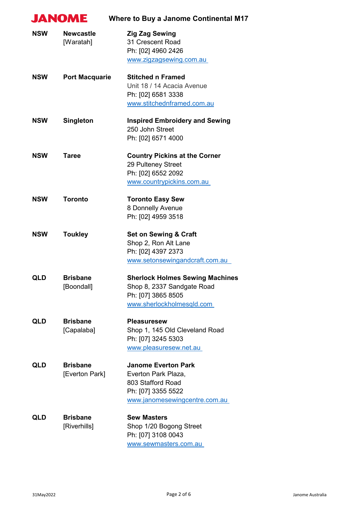| <b>JANOME</b> |                                   | <b>Where to Buy a Janome Continental M17</b>                                                                                  |
|---------------|-----------------------------------|-------------------------------------------------------------------------------------------------------------------------------|
| <b>NSW</b>    | <b>Newcastle</b><br>[Waratah]     | <b>Zig Zag Sewing</b><br>31 Crescent Road<br>Ph: [02] 4960 2426<br>www.zigzagsewing.com.au                                    |
| <b>NSW</b>    | <b>Port Macquarie</b>             | <b>Stitched n Framed</b><br>Unit 18 / 14 Acacia Avenue<br>Ph: [02] 6581 3338<br>www.stitchednframed.com.au                    |
| <b>NSW</b>    | <b>Singleton</b>                  | <b>Inspired Embroidery and Sewing</b><br>250 John Street<br>Ph: [02] 6571 4000                                                |
| <b>NSW</b>    | <b>Taree</b>                      | <b>Country Pickins at the Corner</b><br>29 Pulteney Street<br>Ph: [02] 6552 2092<br>www.countrypickins.com.au                 |
| <b>NSW</b>    | <b>Toronto</b>                    | <b>Toronto Easy Sew</b><br>8 Donnelly Avenue<br>Ph: [02] 4959 3518                                                            |
| <b>NSW</b>    | <b>Toukley</b>                    | <b>Set on Sewing &amp; Craft</b><br>Shop 2, Ron Alt Lane<br>Ph: [02] 4397 2373<br>www.setonsewingandcraft.com.au              |
| QLD           | <b>Brisbane</b><br>[Boondall]     | <b>Sherlock Holmes Sewing Machines</b><br>Shop 8, 2337 Sandgate Road<br>Ph: [07] 3865 8505<br>www.sherlockholmesqld.com       |
| QLD           | <b>Brisbane</b><br>[Capalaba]     | <b>Pleasuresew</b><br>Shop 1, 145 Old Cleveland Road<br>Ph: [07] 3245 5303<br>www.pleasuresew.net.au                          |
| <b>QLD</b>    | <b>Brisbane</b><br>[Everton Park] | <b>Janome Everton Park</b><br>Everton Park Plaza,<br>803 Stafford Road<br>Ph: [07] 3355 5522<br>www.janomesewingcentre.com.au |
| <b>QLD</b>    | <b>Brisbane</b><br>[Riverhills]   | <b>Sew Masters</b><br>Shop 1/20 Bogong Street<br>Ph: [07] 3108 0043<br>www.sewmasters.com.au                                  |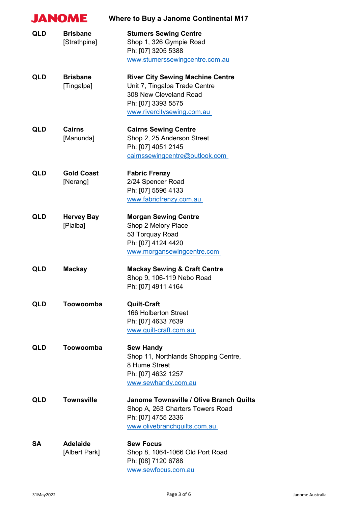|            | <b>JANOME</b>                    | <b>Where to Buy a Janome Continental M17</b>                                                                                                           |
|------------|----------------------------------|--------------------------------------------------------------------------------------------------------------------------------------------------------|
| <b>QLD</b> | <b>Brisbane</b><br>[Strathpine]  | <b>Stumers Sewing Centre</b><br>Shop 1, 326 Gympie Road<br>Ph: [07] 3205 5388<br>www.stumerssewingcentre.com.au                                        |
| <b>QLD</b> | <b>Brisbane</b><br>[Tingalpa]    | <b>River City Sewing Machine Centre</b><br>Unit 7, Tingalpa Trade Centre<br>308 New Cleveland Road<br>Ph: [07] 3393 5575<br>www.rivercitysewing.com.au |
| <b>QLD</b> | <b>Cairns</b><br>[Manunda]       | <b>Cairns Sewing Centre</b><br>Shop 2, 25 Anderson Street<br>Ph: [07] 4051 2145<br>cairnssewingcentre@outlook.com                                      |
| <b>QLD</b> | <b>Gold Coast</b><br>[Nerang]    | <b>Fabric Frenzy</b><br>2/24 Spencer Road<br>Ph: [07] 5596 4133<br>www.fabricfrenzy.com.au                                                             |
| <b>QLD</b> | <b>Hervey Bay</b><br>[Pialba]    | <b>Morgan Sewing Centre</b><br>Shop 2 Melory Place<br>53 Torquay Road<br>Ph: [07] 4124 4420<br>www.morgansewingcentre.com                              |
| <b>QLD</b> | <b>Mackay</b>                    | <b>Mackay Sewing &amp; Craft Centre</b><br>Shop 9, 106-119 Nebo Road<br>Ph: [07] 4911 4164                                                             |
| <b>QLD</b> | Toowoomba                        | <b>Quilt-Craft</b><br>166 Holberton Street<br>Ph: [07] 4633 7639<br>www.quilt-craft.com.au                                                             |
| <b>QLD</b> | Toowoomba                        | <b>Sew Handy</b><br>Shop 11, Northlands Shopping Centre,<br>8 Hume Street<br>Ph: [07] 4632 1257<br>www.sewhandy.com.au                                 |
| <b>QLD</b> | <b>Townsville</b>                | Janome Townsville / Olive Branch Quilts<br>Shop A, 263 Charters Towers Road<br>Ph: [07] 4755 2336<br>www.olivebranchquilts.com.au                      |
| <b>SA</b>  | <b>Adelaide</b><br>[Albert Park] | <b>Sew Focus</b><br>Shop 8, 1064-1066 Old Port Road<br>Ph: [08] 7120 6788<br>www.sewfocus.com.au                                                       |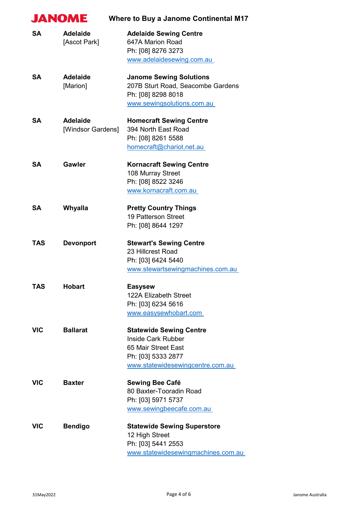| <b>JANOME</b> |                                      | <b>Where to Buy a Janome Continental M17</b>                                                                                                 |
|---------------|--------------------------------------|----------------------------------------------------------------------------------------------------------------------------------------------|
| <b>SA</b>     | <b>Adelaide</b><br>[Ascot Park]      | <b>Adelaide Sewing Centre</b><br>647A Marion Road<br>Ph: [08] 8276 3273<br>www.adelaidesewing.com.au                                         |
| <b>SA</b>     | <b>Adelaide</b><br>[Marion]          | <b>Janome Sewing Solutions</b><br>207B Sturt Road, Seacombe Gardens<br>Ph: [08] 8298 8018<br>www.sewingsolutions.com.au                      |
| <b>SA</b>     | <b>Adelaide</b><br>[Windsor Gardens] | <b>Homecraft Sewing Centre</b><br>394 North East Road<br>Ph: [08] 8261 5588<br>homecraft@chariot.net.au                                      |
| SA            | Gawler                               | <b>Kornacraft Sewing Centre</b><br>108 Murray Street<br>Ph: [08] 8522 3246<br>www.kornacraft.com.au                                          |
| <b>SA</b>     | <b>Whyalla</b>                       | <b>Pretty Country Things</b><br>19 Patterson Street<br>Ph: [08] 8644 1297                                                                    |
| <b>TAS</b>    | <b>Devonport</b>                     | <b>Stewart's Sewing Centre</b><br>23 Hillcrest Road<br>Ph: [03] 6424 5440<br>www.stewartsewingmachines.com.au                                |
| TAS           | <b>Hobart</b>                        | <b>Easysew</b><br><b>122A Elizabeth Street</b><br>Ph: [03] 6234 5616<br>www.easysewhobart.com                                                |
| <b>VIC</b>    | <b>Ballarat</b>                      | <b>Statewide Sewing Centre</b><br><b>Inside Cark Rubber</b><br>65 Mair Street East<br>Ph: [03] 5333 2877<br>www.statewidesewingcentre.com.au |
| <b>VIC</b>    | <b>Baxter</b>                        | Sewing Bee Café<br>80 Baxter-Tooradin Road<br>Ph: [03] 5971 5737<br>www.sewingbeecafe.com.au                                                 |
| <b>VIC</b>    | <b>Bendigo</b>                       | <b>Statewide Sewing Superstore</b><br>12 High Street<br>Ph: [03] 5441 2553<br>www.statewidesewingmachines.com.au                             |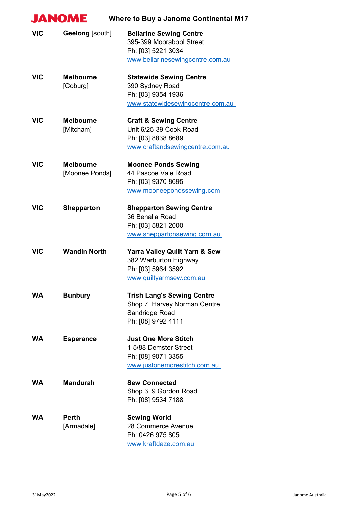|            | <b>JANOME</b>                      | <b>Where to Buy a Janome Continental M17</b>                                                                         |
|------------|------------------------------------|----------------------------------------------------------------------------------------------------------------------|
| <b>VIC</b> | Geelong [south]                    | <b>Bellarine Sewing Centre</b><br>395-399 Moorabool Street<br>Ph: [03] 5221 3034<br>www.bellarinesewingcentre.com.au |
| <b>VIC</b> | <b>Melbourne</b><br>[Coburg]       | <b>Statewide Sewing Centre</b><br>390 Sydney Road<br>Ph: [03] 9354 1936<br>www.statewidesewingcentre.com.au          |
| <b>VIC</b> | <b>Melbourne</b><br>[Mitcham]      | <b>Craft &amp; Sewing Centre</b><br>Unit 6/25-39 Cook Road<br>Ph: [03] 8838 8689<br>www.craftandsewingcentre.com.au  |
| <b>VIC</b> | <b>Melbourne</b><br>[Moonee Ponds] | <b>Moonee Ponds Sewing</b><br>44 Pascoe Vale Road<br>Ph: [03] 9370 8695<br>www.mooneepondssewing.com                 |
| <b>VIC</b> | <b>Shepparton</b>                  | <b>Shepparton Sewing Centre</b><br>36 Benalla Road<br>Ph: [03] 5821 2000<br>www.sheppartonsewing.com.au              |
| <b>VIC</b> | <b>Wandin North</b>                | <b>Yarra Valley Quilt Yarn &amp; Sew</b><br>382 Warburton Highway<br>Ph: [03] 5964 3592<br>www.quiltyarmsew.com.au   |
| <b>WA</b>  | <b>Bunbury</b>                     | <b>Trish Lang's Sewing Centre</b><br>Shop 7, Harvey Norman Centre,<br>Sandridge Road<br>Ph: [08] 9792 4111           |
| <b>WA</b>  | <b>Esperance</b>                   | <b>Just One More Stitch</b><br>1-5/88 Demster Street<br>Ph: [08] 9071 3355<br>www.justonemorestitch.com.au           |
| <b>WA</b>  | <b>Mandurah</b>                    | <b>Sew Connected</b><br>Shop 3, 9 Gordon Road<br>Ph: [08] 9534 7188                                                  |
| <b>WA</b>  | <b>Perth</b><br>[Armadale]         | <b>Sewing World</b><br>28 Commerce Avenue<br>Ph: 0426 975 805<br>www.kraftdaze.com.au                                |